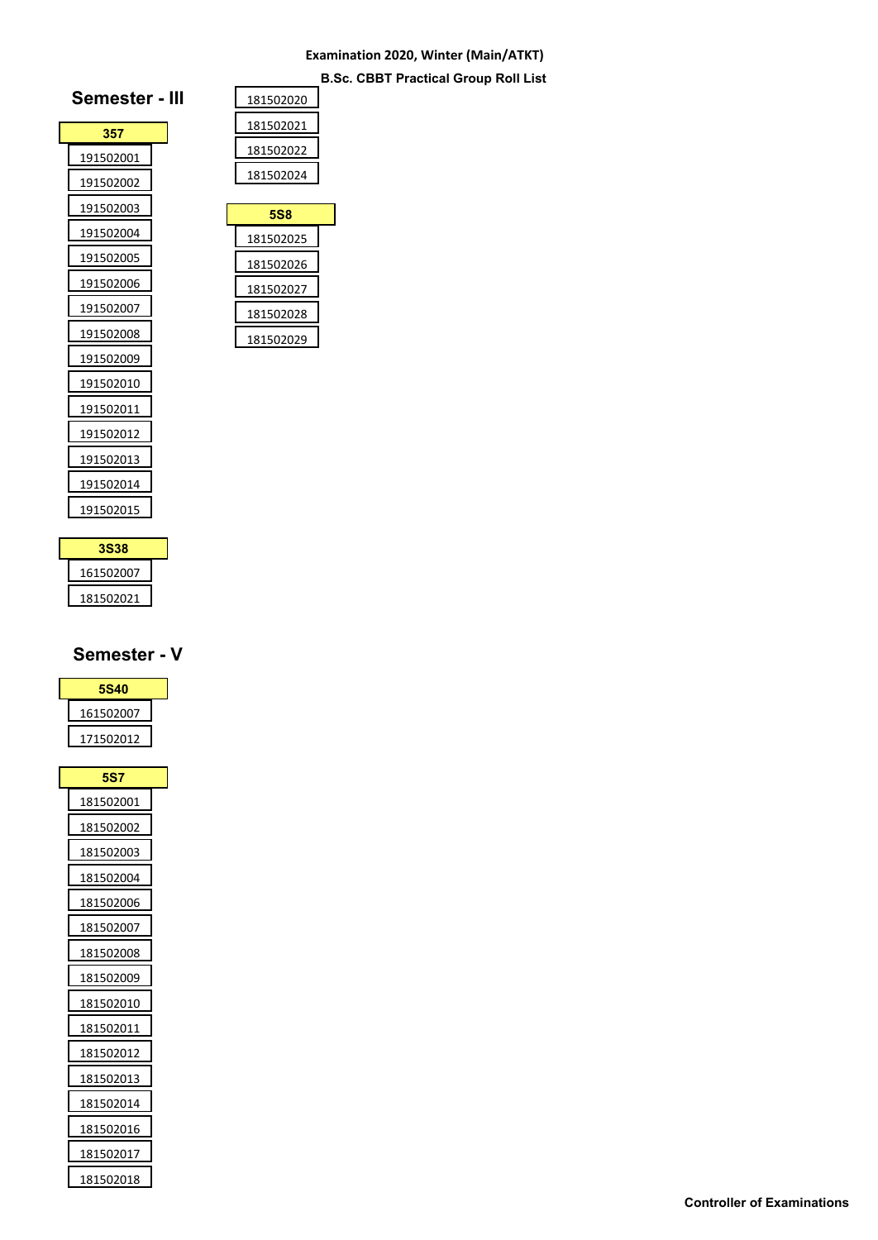**B.Sc. CBBT Practical Group Roll List**

| Semester - III |  |
|----------------|--|
| 357            |  |
| 191502001      |  |
| 191502002      |  |
| 191502003      |  |
| 191502004      |  |
| 191502005      |  |
| 191502006      |  |
| 191502007      |  |
| 191502008      |  |
| 191502009      |  |
| 191502010      |  |
| 191502011      |  |
| 191502012      |  |
| 191502013      |  |
| 191502014      |  |
| 191502015      |  |
|                |  |

| 181502020 |
|-----------|
| 181502021 |
| 181502022 |
| 181502024 |

| 5S8       |  |
|-----------|--|
| 181502025 |  |
| 181502026 |  |
| 181502027 |  |
| 181502028 |  |
| 181502029 |  |

| 3S38      |  |
|-----------|--|
| 161502007 |  |
| 181502021 |  |

# **Semester - V**

| <b>5S40</b> |  |
|-------------|--|
| 161502007   |  |
| 171502012   |  |

| <b>5S7</b> |
|------------|
| 181502001  |
| 181502002  |
| 181502003  |
| 181502004  |
| 181502006  |
| 181502007  |
| 181502008  |
| 181502009  |
| 181502010  |
| 181502011  |
| 181502012  |
| 181502013  |
| 181502014  |
| 181502016  |
| 181502017  |
| 181502018  |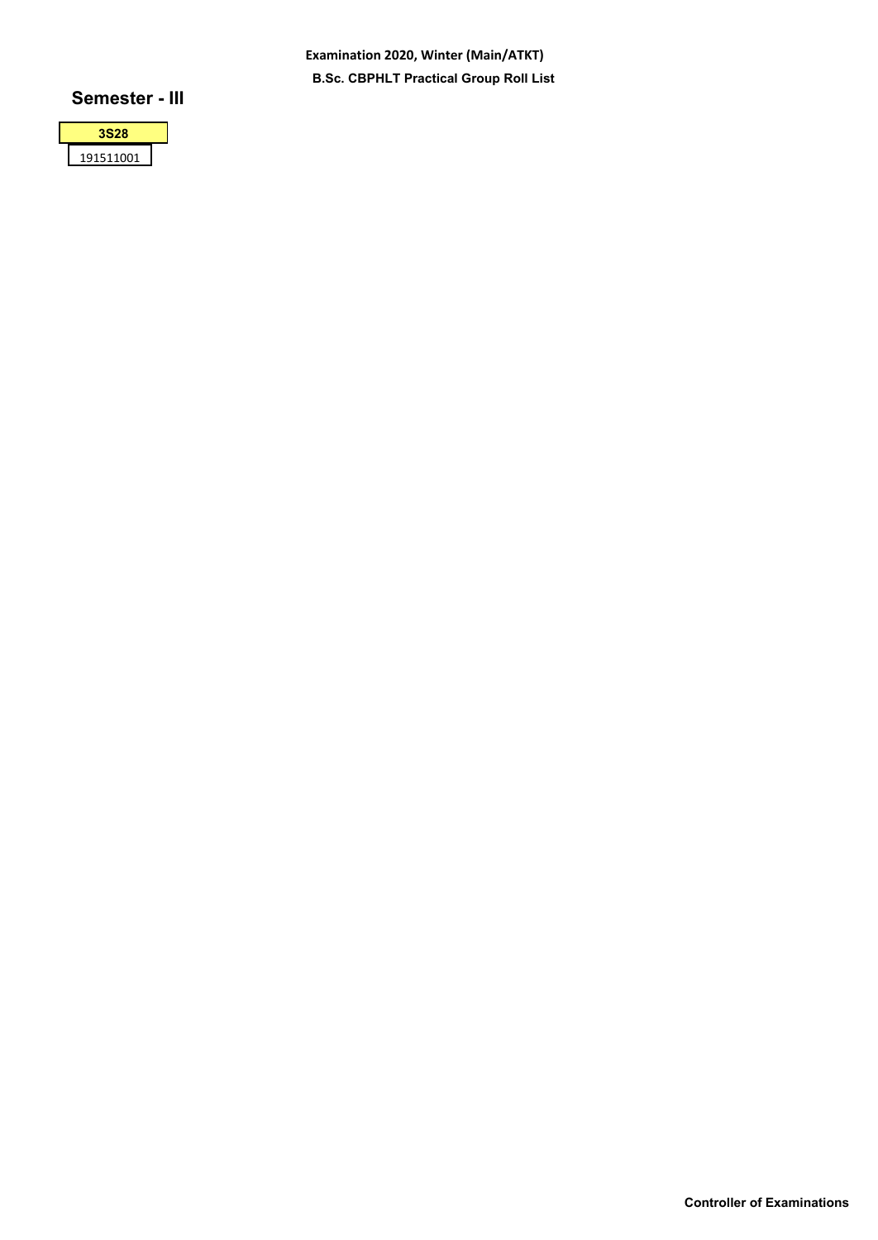**Examination 2020, Winter (Main/ATKT) B.Sc. CBPHLT Practical Group Roll List**

# **Semester - III**

| 528           |  |
|---------------|--|
| 91511001<br>1 |  |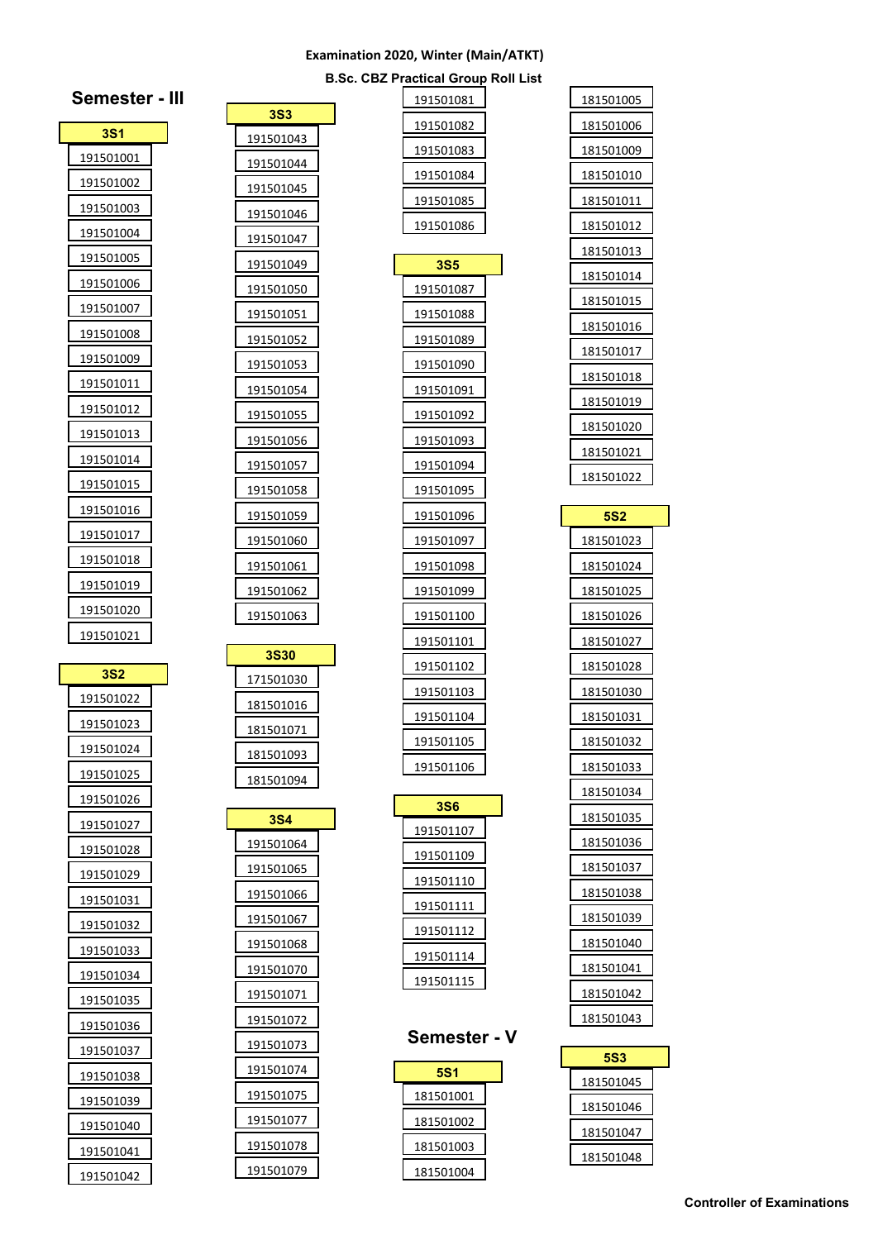|  | <b>B.Sc. CBZ Practical Group Roll List</b> |  |  |
|--|--------------------------------------------|--|--|
|  |                                            |  |  |

| oll<br>List |                  |
|-------------|------------------|
|             | 181501005        |
|             | 181501006        |
|             | 181501009        |
|             | 181501010        |
|             | 181501011        |
|             | 181501012        |
|             | 181501013        |
|             | 181501014        |
|             | 181501015        |
|             | 181501016        |
|             | 181501017        |
|             | <u>181501018</u> |
|             | 181501019        |
|             | 181501020        |
|             | 181501021        |
|             | 181501022        |
|             |                  |
|             | <b>5S2</b>       |
|             | 181501023        |
|             | 181501024        |
|             | <u>181501025</u> |
|             | 181501026        |
|             | 181501027        |
|             | 181501028        |
|             | 181501030        |
|             | 181501031        |
|             | 181501032        |
|             | 181501033        |
|             | 181501034        |
|             | 181501035        |
|             | 181501036        |
|             | <u>181501037</u> |
|             | 181501038        |
|             | 181501039        |
|             | 181501040        |
|             | 181501041        |
|             | 181501042        |
|             | 181501043        |
|             |                  |
|             |                  |
|             | <b>5S3</b>       |

 

| 191501082         |  |
|-------------------|--|
| 191501083         |  |
| 191501084         |  |
| 191501085         |  |
| 191501086         |  |
| 3S5               |  |
| 191501087         |  |
| 191501088         |  |
| <u>191501089</u>  |  |
| 191501090         |  |
| 191501091         |  |
| <u> 191501092</u> |  |
| 191501093         |  |
| 191501094         |  |
| 191501095         |  |
| 191501096         |  |
| 191501097         |  |
| 191501098         |  |
| 191501099         |  |
| 191501100         |  |
| 191501101         |  |
| 191501102         |  |
| 191501103         |  |
| <u>1915011</u> 04 |  |
| 191501105         |  |
| 191501106         |  |
| 3S6               |  |
| <u> 191501107</u> |  |
| 191501109         |  |
| 191501110         |  |
| 191501111         |  |
| 191501112         |  |
| 191501114         |  |
| 191501115         |  |
|                   |  |
| Semester          |  |
| 5S1               |  |
| 181501001         |  |
| 181501002         |  |
| 181501003         |  |
| 181501004         |  |

| <b>3S3</b>             |  |
|------------------------|--|
| 191501043              |  |
| 191501044              |  |
| 191501045              |  |
| 191501046              |  |
| 191501047              |  |
| 191501049              |  |
| 191501050              |  |
| 191501051              |  |
| <u> 191501052</u>      |  |
| 191501053              |  |
| 191501054              |  |
| <u> 191501055</u>      |  |
| 191501056              |  |
| 191501057              |  |
| 191501058              |  |
| 191501059              |  |
| 191501060              |  |
| 191501061              |  |
| 191501062              |  |
| 191501063              |  |
| <b>3S30</b>            |  |
| 171501030              |  |
| 181501016              |  |
| 181501071              |  |
| <u>181501093</u>       |  |
| 181501094              |  |
|                        |  |
| 3S4                    |  |
| <u> 191501064</u>      |  |
| 191501065              |  |
| 191501066              |  |
| 191501067              |  |
| 191501068              |  |
| 191501070              |  |
| 191501071              |  |
| 191501072<br>191501073 |  |
| 191501074              |  |
| 191501075              |  |
|                        |  |

 

| <b>Semester -</b> |  |
|-------------------|--|
| 3S1               |  |
| 191501001         |  |
| 191501002         |  |
| 191501003         |  |
| 191501004         |  |
| 191501005         |  |
| 191501006         |  |
| 191501007         |  |
| 191501008         |  |
| 191501009         |  |
| 191501011         |  |
| 191501012         |  |
| 191501013         |  |
| 191501014         |  |
| 191501015         |  |
| 191501016         |  |
| 191501017         |  |
| 191501018         |  |
| 191501019         |  |
| 191501020         |  |
| 191501021         |  |

| <b>3S2</b> |  |
|------------|--|
| 191501022  |  |
| 191501023  |  |
| 191501024  |  |
| 191501025  |  |
| 191501026  |  |
| 191501027  |  |
| 191501028  |  |
| 191501029  |  |
| 191501031  |  |
| 191501032  |  |
| 191501033  |  |
| 191501034  |  |
| 191501035  |  |
| 191501036  |  |
| 191501037  |  |
| 191501038  |  |
| 191501039  |  |
| 191501040  |  |
| 191501041  |  |
| 191501042  |  |

|  |  | Controller of Examinations |  |
|--|--|----------------------------|--|
|  |  |                            |  |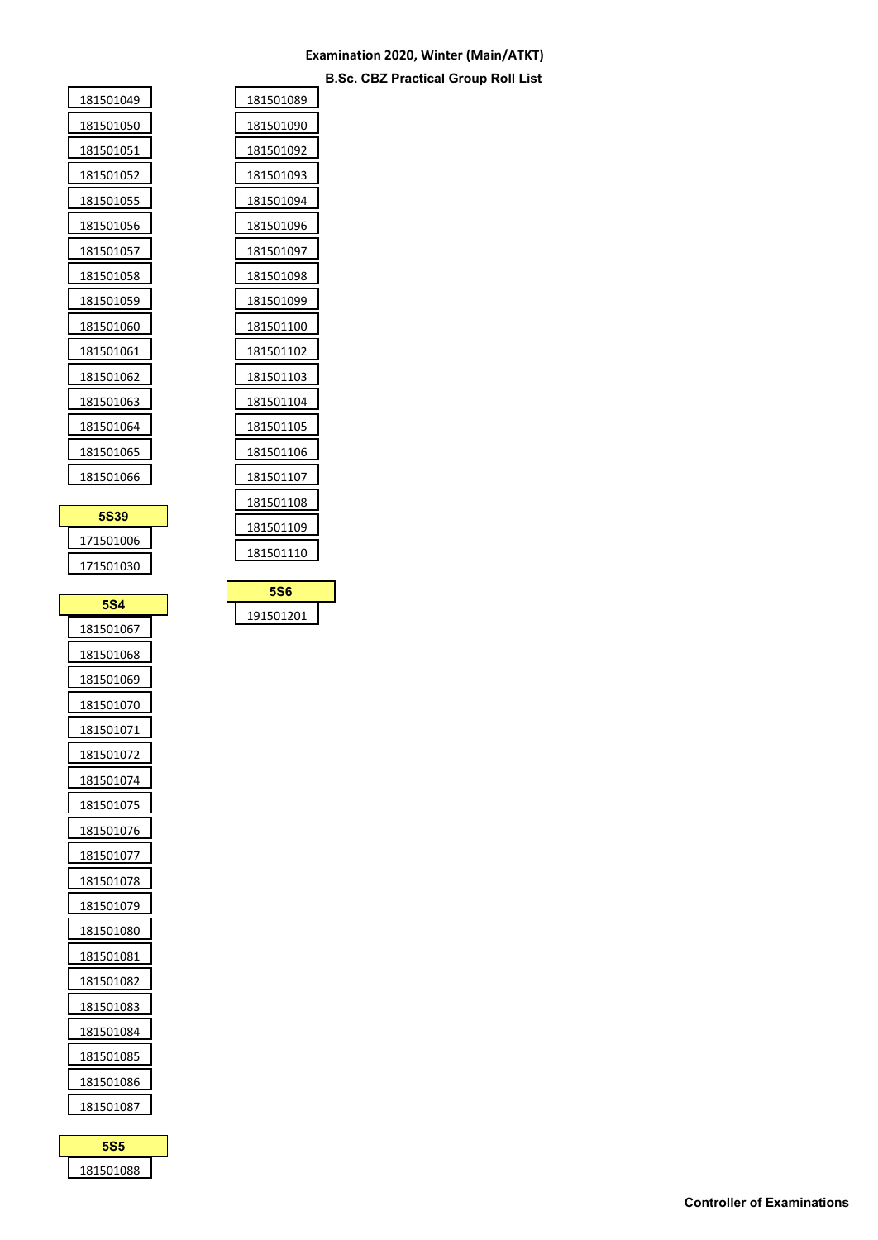**B.Sc. CBZ Practical Group Roll List**

| <b>5S39</b> |  |
|-------------|--|
| 181501066   |  |
| 181501065   |  |
|             |  |
| 181501064   |  |
| 181501063   |  |
| 181501062   |  |
| 181501061   |  |
| 181501060   |  |
| 181501059   |  |
| 181501058   |  |
| 181501057   |  |
| 181501056   |  |
| 181501055   |  |
| 181501052   |  |
| 181501051   |  |
| 181501050   |  |
| 181501049   |  |

h

r

| 171501006 |
|-----------|
|           |
| 171501030 |

| <b>5S4</b>        |
|-------------------|
| 181501067         |
| 181501068         |
| 181501069         |
| 181501070         |
| 181501071         |
| 181501072         |
| 181501074         |
| 181501075         |
| 181501076         |
| 181501077         |
| 181501078         |
| 181501079         |
| 181501080         |
| 181501081         |
| 181501082         |
| <u>18150108</u> 3 |
| 181501084         |
| 181501085         |
| 181501086         |
| 181501087         |

**5S5** 

| 181501089<br>181501090<br>181501092<br>181501093<br>181501094<br>181501096<br>181501097<br>181501098<br>181501099<br>181501100<br>181501102<br>181501103<br>181501104<br>181501105<br>181501106<br>181501107<br>181501108<br>181501109<br>181501110 |  |
|-----------------------------------------------------------------------------------------------------------------------------------------------------------------------------------------------------------------------------------------------------|--|
|                                                                                                                                                                                                                                                     |  |
|                                                                                                                                                                                                                                                     |  |
|                                                                                                                                                                                                                                                     |  |
|                                                                                                                                                                                                                                                     |  |
|                                                                                                                                                                                                                                                     |  |
|                                                                                                                                                                                                                                                     |  |
|                                                                                                                                                                                                                                                     |  |
|                                                                                                                                                                                                                                                     |  |
|                                                                                                                                                                                                                                                     |  |
|                                                                                                                                                                                                                                                     |  |
|                                                                                                                                                                                                                                                     |  |
|                                                                                                                                                                                                                                                     |  |
|                                                                                                                                                                                                                                                     |  |
|                                                                                                                                                                                                                                                     |  |
|                                                                                                                                                                                                                                                     |  |
|                                                                                                                                                                                                                                                     |  |
|                                                                                                                                                                                                                                                     |  |
|                                                                                                                                                                                                                                                     |  |
|                                                                                                                                                                                                                                                     |  |

| <b>5S6</b> |  |
|------------|--|
| 191501201  |  |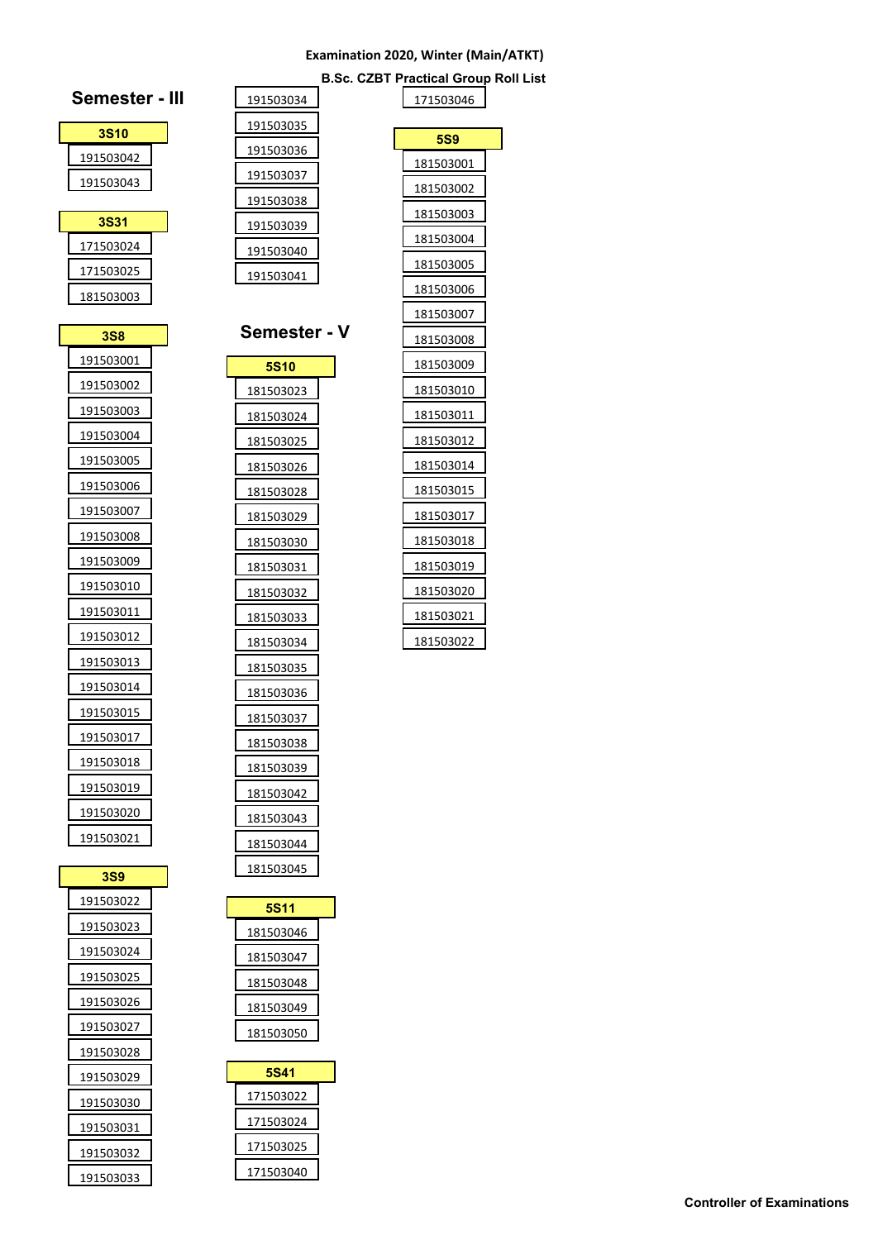**Semester - V**

**B.Sc. CZBT Practical Group Roll List**



| 181503037   |
|-------------|
| 181503038   |
| 181503039   |
| 181503042   |
| 181503043   |
| 181503044   |
| 181503045   |
|             |
| <b>5S11</b> |
| 181503046   |
| 181503047   |
|             |
| 181503048   |
| 181503049   |
| 181503050   |
|             |
| <b>5S41</b> |
| 171503022   |
| 171503024   |
| 171503025   |
| 171503040   |
|             |

| 171503046  |
|------------|
|            |
| <b>5S9</b> |
| 181503001  |
| 181503002  |
| 181503003  |
| 181503004  |
| 181503005  |
| 181503006  |
| 181503007  |
| 181503008  |
| 181503009  |
| 181503010  |
| 181503011  |
| 181503012  |
| 181503014  |
| 181503015  |
| 181503017  |
| 181503018  |
| 181503019  |
| 181503020  |
| 181503021  |
| 181503022  |
|            |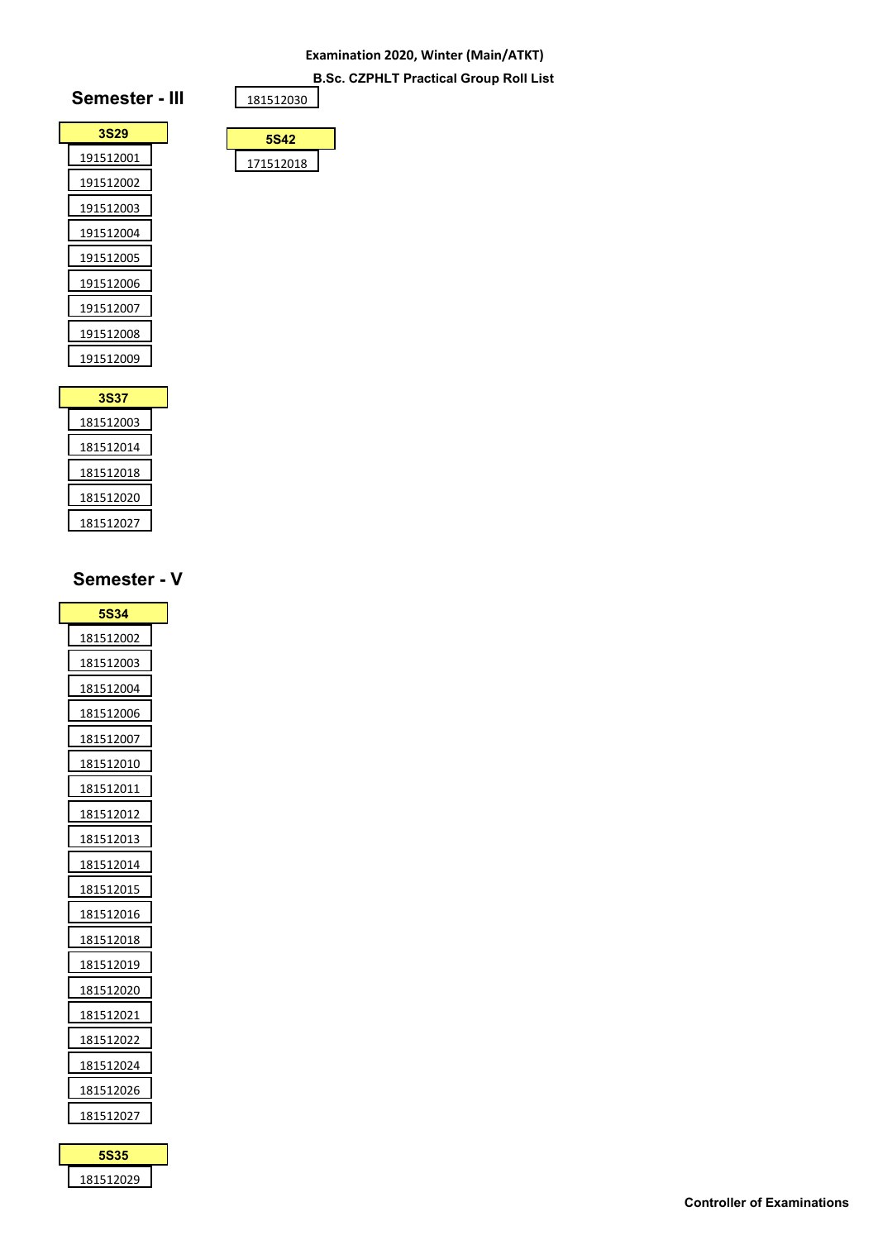**B.Sc. CZPHLT Practical Group Roll List**



| 181512030   |  |
|-------------|--|
|             |  |
| <b>5S42</b> |  |
|             |  |

| 3S37      |  |
|-----------|--|
| 181512003 |  |
| 181512014 |  |
| 181512018 |  |
| 181512020 |  |
| 181512027 |  |

# **Semester - V**

| 5S34              |
|-------------------|
| 181512002         |
| 181512003         |
| 181512004         |
| 181512006         |
| 181512007         |
| 181512010         |
| 181512011         |
| 181512012         |
| 181512013         |
| 181512014         |
| 181512015         |
| 181512016         |
| 181512018         |
| 181512019         |
| 181512020         |
| 181512021         |
| <u> 181512022</u> |
| 181512024         |
| 181512026         |
| 181512027         |

**5S35**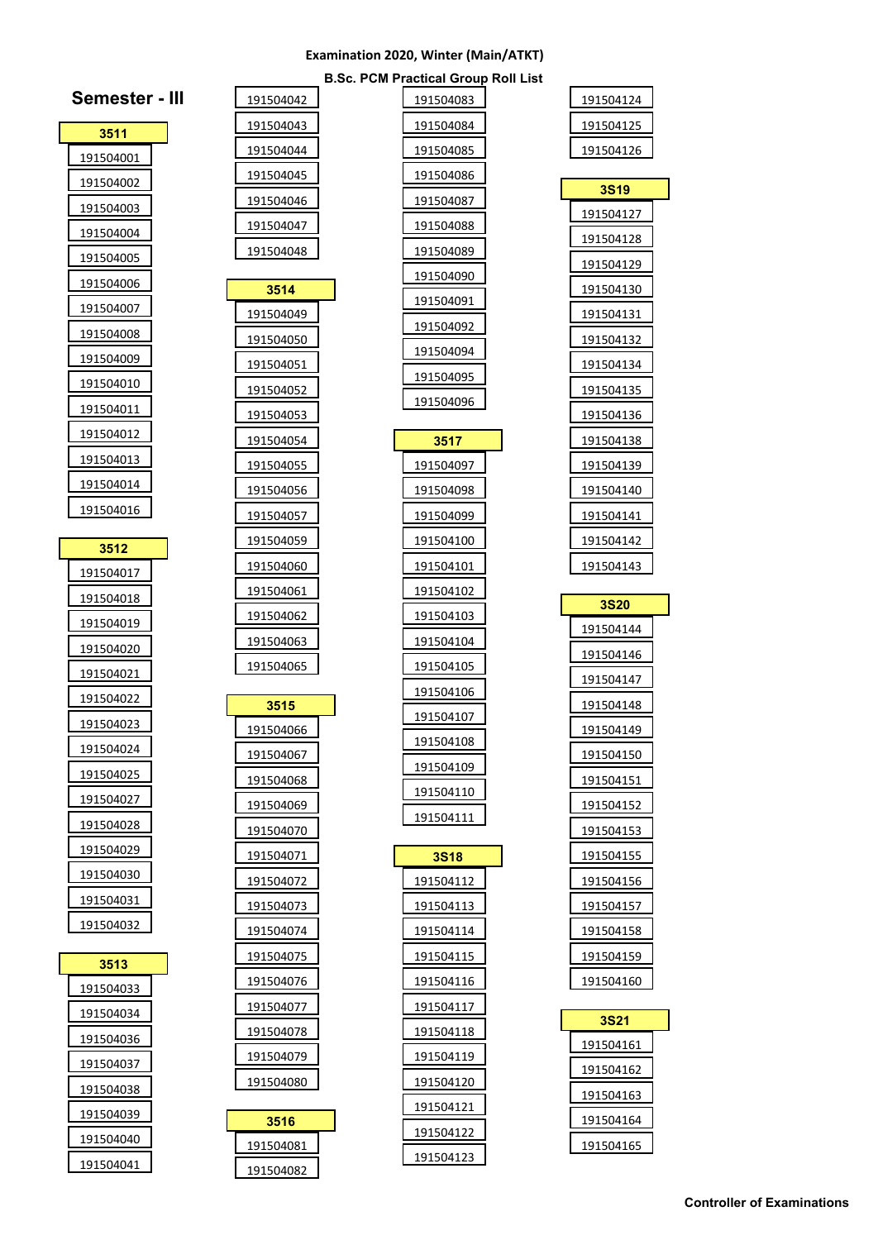|  | <b>B.Sc. PCM Practical Group Roll List</b> |  |  |
|--|--------------------------------------------|--|--|

| 191504124 |
|-----------|
| 191504125 |
| 191504126 |

| 3S19      |  |
|-----------|--|
| 191504127 |  |
| 191504128 |  |
| 191504129 |  |
| 191504130 |  |
| 191504131 |  |
| 191504132 |  |
| 191504134 |  |
| 191504135 |  |
| 191504136 |  |
| 191504138 |  |
| 191504139 |  |
| 191504140 |  |
| 191504141 |  |
| 191504142 |  |
| 191504143 |  |

| 3S20      |  |
|-----------|--|
| 191504144 |  |
| 191504146 |  |
| 191504147 |  |
| 191504148 |  |
| 191504149 |  |
| 191504150 |  |
| 191504151 |  |
| 191504152 |  |
| 191504153 |  |
| 191504155 |  |
| 191504156 |  |
| 191504157 |  |
| 191504158 |  |
| 191504159 |  |
| 191504160 |  |

| 3S21      |  |
|-----------|--|
| 191504161 |  |
| 191504162 |  |
| 191504163 |  |
| 191504164 |  |
| 191504165 |  |

| 191504083         |  |
|-------------------|--|
| 191504084         |  |
| 191504085         |  |
| 191504086         |  |
| <u> 191504087</u> |  |
| 191504088         |  |
| 191504089         |  |
| <u> 191504090</u> |  |
| 191504091         |  |
| 191504092         |  |
| 191504094         |  |
| 191504095         |  |
| 191504096         |  |
|                   |  |
| 3517              |  |
| 191504097         |  |
| 191504098         |  |
| 191504099         |  |
| 191504100         |  |
| 191504101         |  |
| 191504102         |  |
| 191504103         |  |
| 191504104         |  |
| 191504105         |  |
| <u> 191504106</u> |  |
| 191504107         |  |
| 191504108         |  |
| 191504109         |  |
| 191504110         |  |
| 191504111         |  |
| 3S18              |  |
| 191504112         |  |
| 191504113         |  |
| 191504114         |  |
| 191504115         |  |
| 191504116         |  |
| 191504117         |  |
| 191504118         |  |
| 191504119         |  |
| 191504120         |  |
| 191504121         |  |
| 191504122         |  |
|                   |  |

 $|191504123|$ 

| 3511              |  |
|-------------------|--|
| 191504001         |  |
| <u>191504002</u>  |  |
| 191504003         |  |
| 191504004         |  |
| 191504005         |  |
| 191504006         |  |
| <u> 191504007</u> |  |
| <u> 191504008</u> |  |
| <u> 191504009</u> |  |
| <u>191504010</u>  |  |
| 191504011         |  |
| 191504012         |  |
| 191504013         |  |
| 191504014         |  |
|                   |  |
| 191504016         |  |
|                   |  |
| 3512              |  |
| 191504017         |  |
| 191504018         |  |
| <u>191504019</u>  |  |
| 191504020         |  |
| 191504021         |  |
| 191504022         |  |
| 191504023         |  |
| <u>191504024</u>  |  |
| 191504025         |  |
| <u> 191504027</u> |  |
| <u> 191504028</u> |  |
| 191504029         |  |

**Semester - III**

 

| 3513      |  |
|-----------|--|
| 191504033 |  |
| 191504034 |  |
| 191504036 |  |
| 191504037 |  |
| 191504038 |  |
| 191504039 |  |
| 191504040 |  |
| 191504041 |  |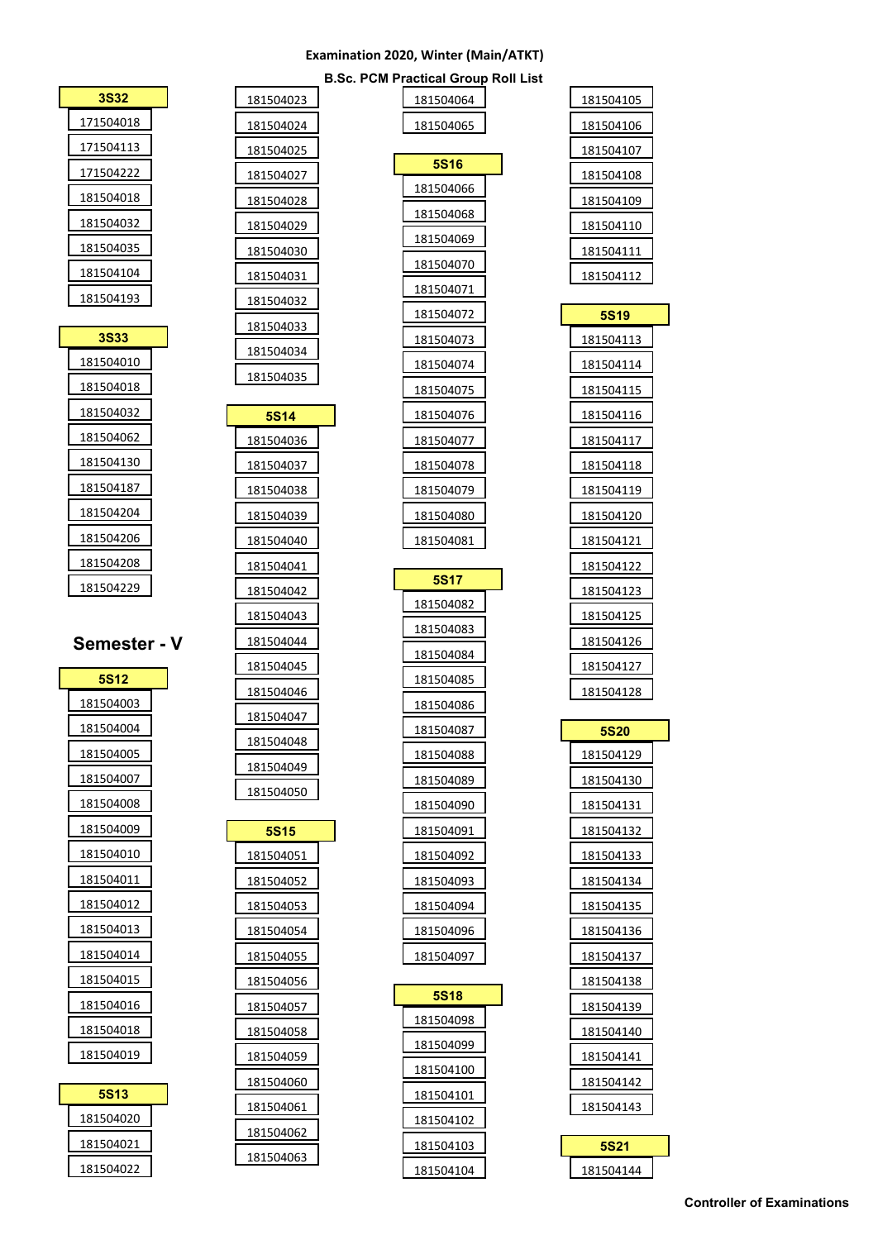|  | <b>B.Sc. PCM Practical Group Roll List</b> |  |  |
|--|--------------------------------------------|--|--|

| σισαι στο <b>α</b> ρ τ |             |
|------------------------|-------------|
| 181504064              | 181504105   |
| 181504065              | 181504106   |
|                        | 18150410/   |
| <b>5S16</b>            | 181504108   |
| 181504066              | 181504109   |
| 181504068              | 181504110   |
| 181504069              | 181504111   |
| 181504070              | 181504112   |
| 181504071              |             |
| 181504072              | 5S19        |
| 181504073              | 181504113   |
| 181504074              | 181504114   |
| 181504075              | 181504115   |
| 181504076              | 181504116   |
| 181504077              | 181504117   |
| 181504078              | 181504118   |
| 181504079              | 181504119   |
| 181504080              | 181504120   |
| 181504081              | 181504121   |
| <b>5S17</b>            | 181504122   |
| 181504082              | 181504123   |
| 181504083              | 181504125   |
| 181504084              | 181504126   |
| 181504085              | 181504127   |
| 181504086              | 181504128   |
| 181504087              | <b>5S20</b> |
| 181504088              | 181504129   |
| 181504089              | 181504130   |
| 181504090              | 181504131   |
| 181504091              | 181504132   |
| 181504092              | 181504133   |
| 181504093              | 181504134   |
| 181504094              | 181504135   |
| 181504096              | 181504136   |
| 181504097              | 181504137   |
|                        | 181504138   |
| <b>5S18</b>            | 181504139   |
| 181504098              | 181504140   |
| 181504099              | 181504141   |
| 181504100              | 181504142   |
| 181504101              | 181504143   |
| 181504102              |             |
| 181504103              | 5S21        |
| 181504104              | 181504144   |

|    | 181504023 |
|----|-----------|
|    | 181504024 |
|    | 181504025 |
|    | 181504027 |
|    | 181504028 |
|    | 181504029 |
|    | 181504030 |
|    | 181504031 |
|    | 181504032 |
|    | 181504033 |
|    | 181504034 |
|    | 181504035 |
|    |           |
|    | 5S14      |
|    | 181504036 |
|    | 181504037 |
|    | 181504038 |
|    | 181504039 |
|    | 181504040 |
|    | 181504041 |
|    | 181504042 |
|    | 181504043 |
| er | 181504044 |
|    | 181504045 |
|    | 181504046 |
|    | 181504047 |
|    | 181504048 |
|    | 181504049 |
|    | 181504050 |
|    | 5S15      |
|    | 181504051 |
|    |           |
|    | 181504052 |
|    | 181504053 |
|    | 181504054 |
|    | 181504055 |
|    | 181504056 |
|    | 181504057 |

| 3S32      |  |
|-----------|--|
| 171504018 |  |
| 171504113 |  |
| 171504222 |  |
| 181504018 |  |
| 181504032 |  |
| 181504035 |  |
| 181504104 |  |
| 181504193 |  |
|           |  |
| 3S33      |  |

| <b>3S33</b> |
|-------------|
| 181504010   |
| 181504018   |
| 181504032   |
| 181504062   |
| 181504130   |
| 181504187   |
| 181504204   |
| 181504206   |
| 181504208   |
| 181504229   |

# **Semeste**

| <b>5S12</b>      |
|------------------|
| 181504003        |
| 181504004        |
| 181504005        |
| 181504007        |
| <u>181504008</u> |
| 181504009        |
| 181504010        |
| 181504011        |
| 181504012        |
| 181504013        |
| 181504014        |
| 181504015        |
| 181504016        |
| 181504018        |
| 181504019        |
|                  |

| <b>5S13</b> |  |
|-------------|--|
| 181504020   |  |
| 181504021   |  |
| 181504022   |  |

| Controller of Examinations |  |  |
|----------------------------|--|--|
|                            |  |  |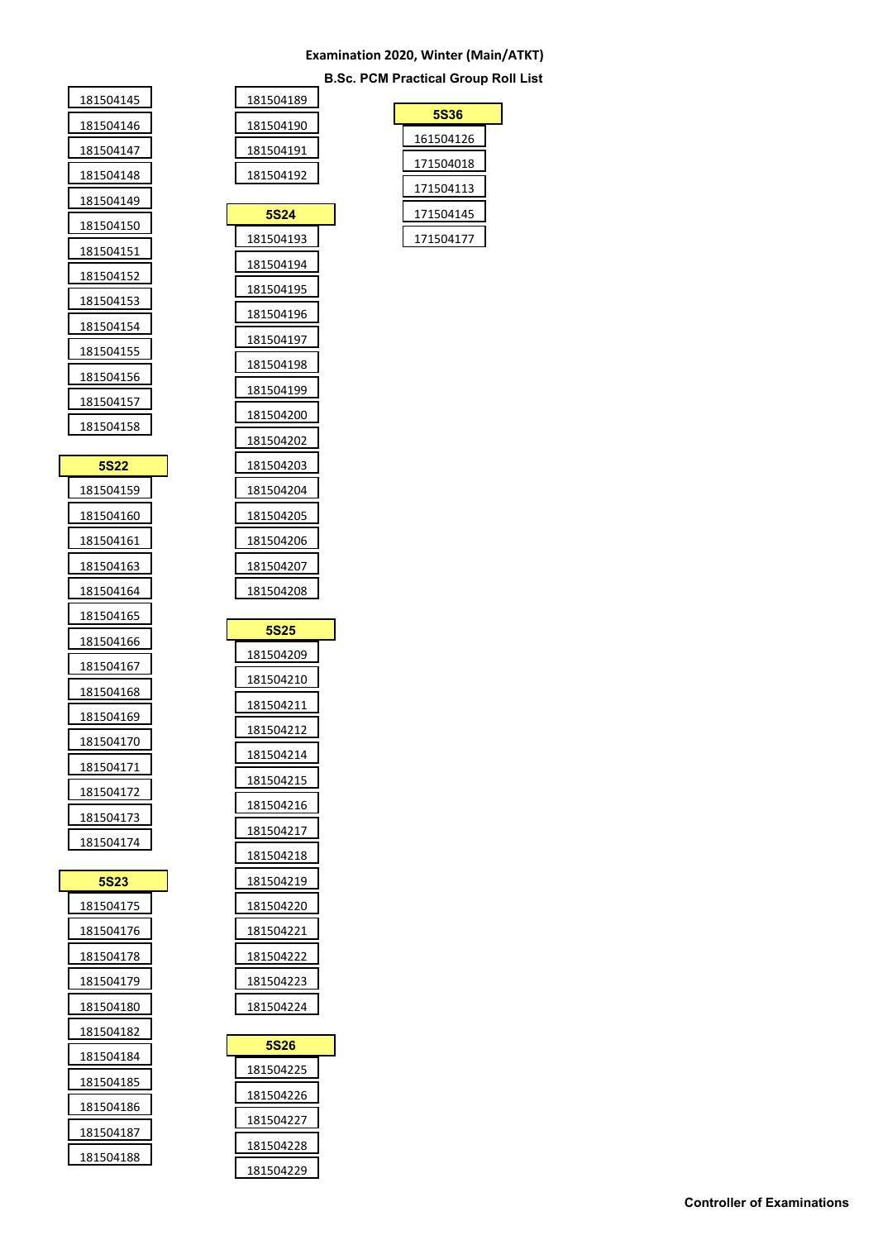**B.Sc. PCM Practical Group Roll List**

| 181504145 |
|-----------|
| 181504146 |
| 181504147 |
| 181504148 |
| 181504149 |
| 181504150 |
| 181504151 |
| 181504152 |
| 181504153 |
| 181504154 |
| 181504155 |
| 181504156 |
| 181504157 |
| 181504158 |

| <b>5S22</b> |  |
|-------------|--|
| 181504159   |  |
| 181504160   |  |
| 181504161   |  |
| 181504163   |  |
| 181504164   |  |
| 181504165   |  |
| 181504166   |  |
| 181504167   |  |
| 181504168   |  |
| 181504169   |  |
| 181504170   |  |
| 181504171   |  |
| 181504172   |  |
| 181504173   |  |
| 181504174   |  |

| 5S23      |  |
|-----------|--|
| 181504175 |  |
| 181504176 |  |
| 181504178 |  |
| 181504179 |  |
| 181504180 |  |
| 181504182 |  |
| 181504184 |  |
| 181504185 |  |
| 181504186 |  |
| 181504187 |  |
| 181504188 |  |

| 181504189 |
|-----------|
| 181504190 |
| 181504191 |
| 181504192 |
|           |

| <b>5S24</b>       |
|-------------------|
| <u>181504193</u>  |
| 181504194         |
| <u>181504195</u>  |
| 181504196         |
| 181504197         |
| <u> 181504198</u> |
| <u>181504199</u>  |
| 181504200         |
| <u> 181504202</u> |
| 181504203         |
| <u>181504204</u>  |
| <u>181504205</u>  |
| 181504206         |
| <u>181504207</u>  |
| 181504208         |
|                   |
| <b>5S25</b>       |
| 181504209         |

| ขอฆอ              |  |
|-------------------|--|
| 181504209         |  |
| <u>181504</u> 210 |  |
| 181504211         |  |
| 181504212         |  |
| 181504214         |  |
| 181504215         |  |
| 181504216         |  |
| 181504217         |  |
| 181504218         |  |
| 181504219         |  |
| 181504220         |  |
| 181504221         |  |
| 181504222         |  |
| 181504223         |  |
| 181504224         |  |

| 5S26      |  |
|-----------|--|
| 181504225 |  |
| 181504226 |  |
| 181504227 |  |
| 181504228 |  |
| 181504229 |  |

| <b>5S36</b> |
|-------------|
| 161504126   |
| 171504018   |
| 171504113   |
| 171504145   |
| 171504177   |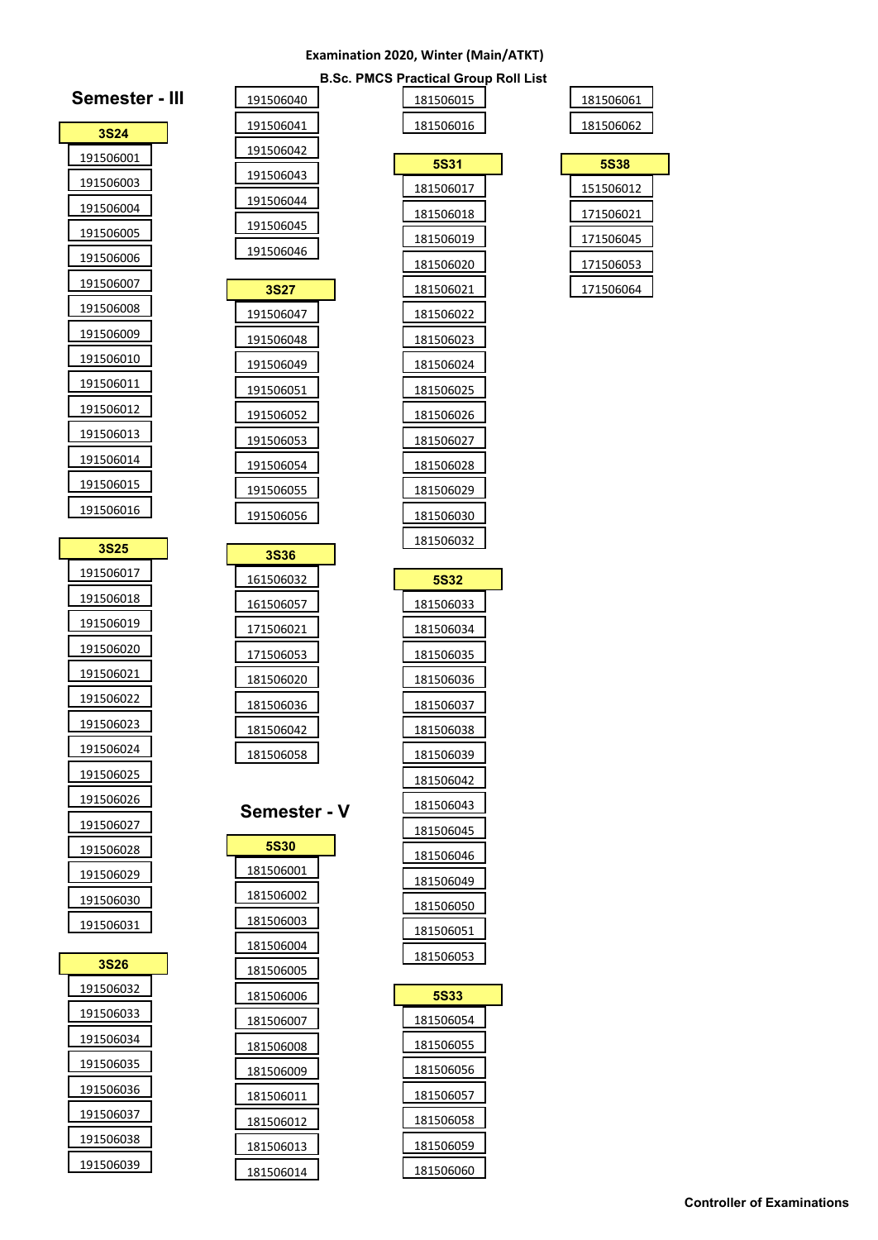**B.Sc. PMCS Practical Group Roll List**

| 181506061 |  |
|-----------|--|
| 181506062 |  |

|  | 151506012 |  |
|--|-----------|--|
|  | 171506021 |  |
|  | 171506045 |  |
|  | 171506053 |  |
|  | 171506064 |  |

| Sc.<br><b>PMCS Practical Group</b> |                        |  |  |  |
|------------------------------------|------------------------|--|--|--|
|                                    | 181506015              |  |  |  |
|                                    | 181506016              |  |  |  |
|                                    | 5S31                   |  |  |  |
|                                    | 181506017              |  |  |  |
|                                    | 181506018              |  |  |  |
|                                    | 181506019              |  |  |  |
|                                    | 181506020              |  |  |  |
|                                    | 181506021              |  |  |  |
|                                    | 181506022              |  |  |  |
|                                    | <u> 181506023</u>      |  |  |  |
|                                    | 181506024              |  |  |  |
|                                    | 181506025              |  |  |  |
|                                    | 181506026              |  |  |  |
|                                    | 181506027              |  |  |  |
|                                    | 181506028              |  |  |  |
|                                    | 181506029              |  |  |  |
|                                    | 181506030              |  |  |  |
|                                    | 181506032              |  |  |  |
|                                    |                        |  |  |  |
|                                    | 5S32<br>181506033      |  |  |  |
|                                    |                        |  |  |  |
|                                    | 181506034<br>181506035 |  |  |  |
|                                    |                        |  |  |  |
|                                    | 181506036<br>181506037 |  |  |  |
|                                    | 181506038              |  |  |  |
|                                    | 181506039              |  |  |  |
|                                    | 181506042              |  |  |  |
|                                    | 181506043              |  |  |  |
|                                    | <u>181506045</u>       |  |  |  |
|                                    |                        |  |  |  |
|                                    |                        |  |  |  |
|                                    | 181506046              |  |  |  |
|                                    | 181506049              |  |  |  |
|                                    | 181506050              |  |  |  |
|                                    | 181506051<br>181506053 |  |  |  |
|                                    |                        |  |  |  |
|                                    | <b>5S33</b>            |  |  |  |
|                                    | 181506054              |  |  |  |
|                                    | 181506055              |  |  |  |

| <b>3S24</b> |  |
|-------------|--|
| 191506001   |  |
| 191506003   |  |
| 191506004   |  |
| 191506005   |  |
| 191506006   |  |
| 191506007   |  |
| 191506008   |  |
| 191506009   |  |
| 191506010   |  |
| 191506011   |  |
| 191506012   |  |
| 191506013   |  |
| 191506014   |  |
| 191506015   |  |
| 191506016   |  |
|             |  |

**Semester - III**

**Semester -**

| 3S25              |
|-------------------|
| 191506017         |
| 191506018         |
| <u> 191506019</u> |
| <u> 191506020</u> |
| 191506021         |
| <u>191506022</u>  |
| 191506023         |
| 191506024         |
| 191506025         |
| <u> 191506026</u> |
| 191506027         |
| <u> 191506028</u> |
| 191506029         |
| 191506030         |
| 191506031         |

| 3S26      |  |
|-----------|--|
| 191506032 |  |
| 191506033 |  |
| 191506034 |  |
| 191506035 |  |
| 191506036 |  |
| 191506037 |  |
| 191506038 |  |
| 191506039 |  |
|           |  |

| <b>Controller of Examinations</b> |  |  |
|-----------------------------------|--|--|
|                                   |  |  |